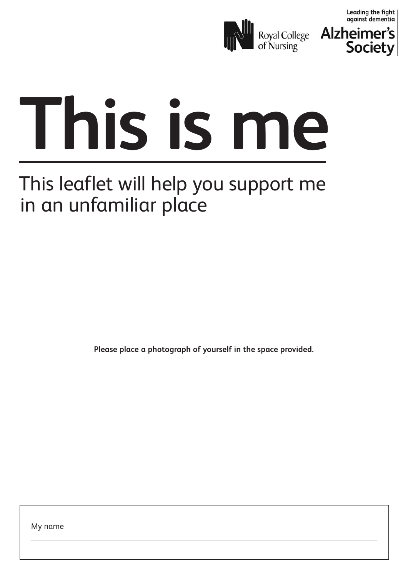

Leading the fight against dementia

**Society** 

## **This is me**

## This leaflet will help you support me in an unfamiliar place

**Please place a photograph of yourself in the space provided.**

My name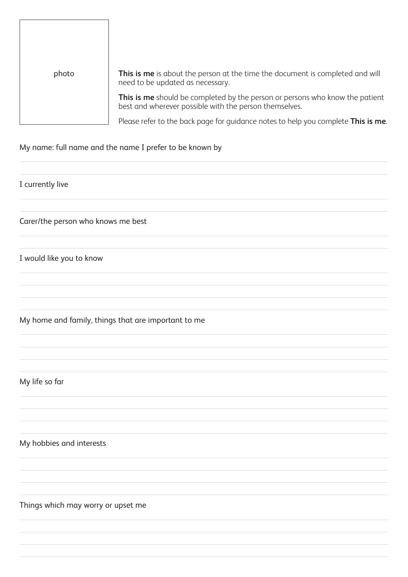| photo | <b>This is me</b> is about the person at the time the document is completed and will<br>need to be updated as necessary.               |
|-------|----------------------------------------------------------------------------------------------------------------------------------------|
|       | This is me should be completed by the person or persons who know the patient<br>best and wherever possible with the person themselves. |
|       | Please refer to the back page for guidance notes to help you complete This is me.                                                      |

My name: full name and the name I prefer to be known by

I currently live

Carer/the person who knows me best

I would like you to know

My home and family, things that are important to me

My life so far

My hobbies and interests

Things which may worry or upset me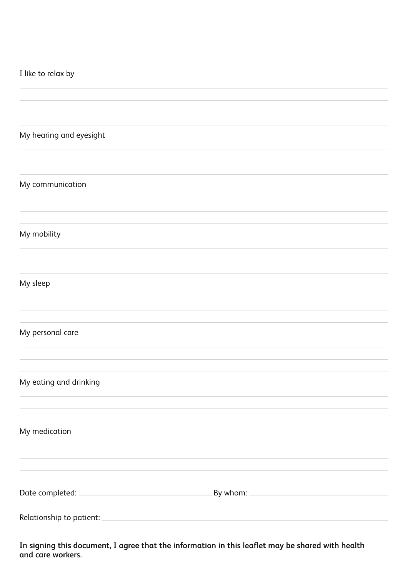|  |  |  | I like to relax by |  |
|--|--|--|--------------------|--|
|--|--|--|--------------------|--|

| My hearing and eyesight  |          |
|--------------------------|----------|
|                          |          |
|                          |          |
|                          |          |
| My communication         |          |
|                          |          |
|                          |          |
|                          |          |
| My mobility              |          |
|                          |          |
|                          |          |
|                          |          |
| My sleep                 |          |
|                          |          |
|                          |          |
|                          |          |
| My personal care         |          |
|                          |          |
|                          |          |
|                          |          |
| My eating and drinking   |          |
|                          |          |
|                          |          |
|                          |          |
| My medication            |          |
|                          |          |
|                          |          |
|                          |          |
|                          |          |
| Date completed:          | By whom: |
|                          |          |
| Relationship to patient: |          |
|                          |          |

**In signing this document, I agree that the information in this leaflet may be shared with health and care workers.**